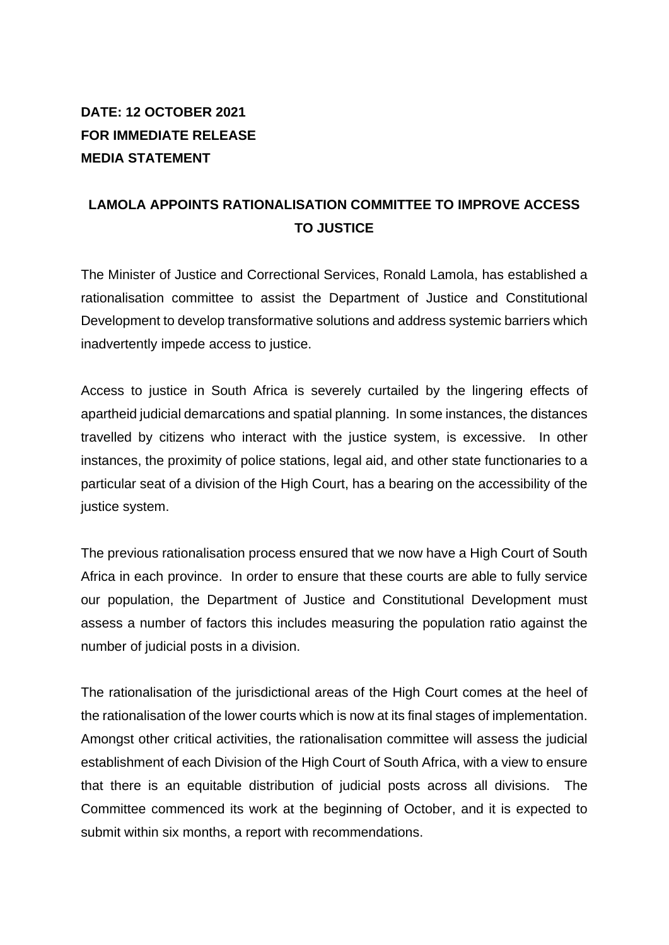## **DATE: 12 OCTOBER 2021 FOR IMMEDIATE RELEASE MEDIA STATEMENT**

## **LAMOLA APPOINTS RATIONALISATION COMMITTEE TO IMPROVE ACCESS TO JUSTICE**

The Minister of Justice and Correctional Services, Ronald Lamola, has established a rationalisation committee to assist the Department of Justice and Constitutional Development to develop transformative solutions and address systemic barriers which inadvertently impede access to justice.

Access to justice in South Africa is severely curtailed by the lingering effects of apartheid judicial demarcations and spatial planning. In some instances, the distances travelled by citizens who interact with the justice system, is excessive. In other instances, the proximity of police stations, legal aid, and other state functionaries to a particular seat of a division of the High Court, has a bearing on the accessibility of the justice system.

The previous rationalisation process ensured that we now have a High Court of South Africa in each province. In order to ensure that these courts are able to fully service our population, the Department of Justice and Constitutional Development must assess a number of factors this includes measuring the population ratio against the number of judicial posts in a division.

The rationalisation of the jurisdictional areas of the High Court comes at the heel of the rationalisation of the lower courts which is now at its final stages of implementation. Amongst other critical activities, the rationalisation committee will assess the judicial establishment of each Division of the High Court of South Africa, with a view to ensure that there is an equitable distribution of judicial posts across all divisions. The Committee commenced its work at the beginning of October, and it is expected to submit within six months, a report with recommendations.